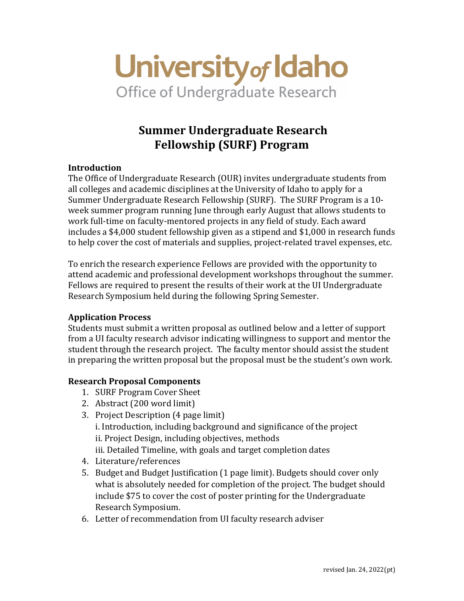

# **Summer Undergraduate Research Fellowship (SURF) Program**

## **Introduction**

The Office of Undergraduate Research (OUR) invites undergraduate students from all colleges and academic disciplines at the University of Idaho to apply for a Summer Undergraduate Research Fellowship (SURF). The SURF Program is a 10 week summer program running June through early August that allows students to work full-time on faculty-mentored projects in any field of study. Each award includes a \$4,000 student fellowship given as a stipend and \$1,000 in research funds to help cover the cost of materials and supplies, project-related travel expenses, etc.

To enrich the research experience Fellows are provided with the opportunity to attend academic and professional development workshops throughout the summer. Fellows are required to present the results of their work at the UI Undergraduate Research Symposium held during the following Spring Semester.

## **Application Process**

Students must submit a written proposal as outlined below and a letter of support from a UI faculty research advisor indicating willingness to support and mentor the student through the research project. The faculty mentor should assist the student in preparing the written proposal but the proposal must be the student's own work.

## **Research Proposal Components**

- 1. SURF Program Cover Sheet
- 2. Abstract (200 word limit)
- 3. Project Description (4 page limit) i. Introduction, including background and significance of the project ii. Project Design, including objectives, methods iii. Detailed Timeline, with goals and target completion dates
- 4. Literature/references
- 5. Budget and Budget Justification (1 page limit). Budgets should cover only what is absolutely needed for completion of the project. The budget should include \$75 to cover the cost of poster printing for the Undergraduate Research Symposium.
- 6. Letter of recommendation from UI faculty research adviser